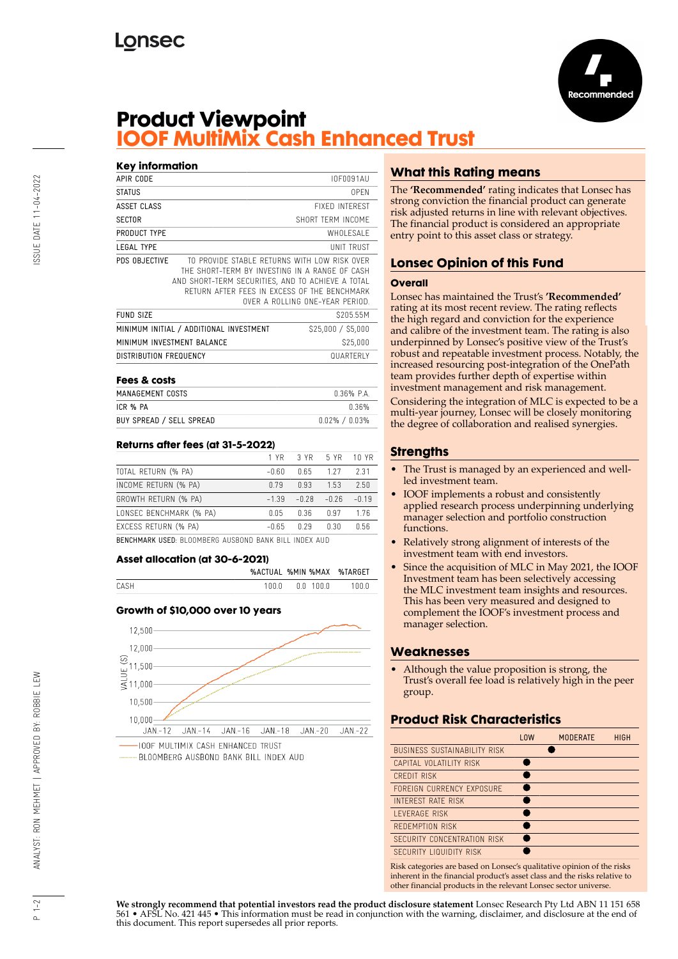

# **Product Viewpoint IOOF MultiMix Cash Enhanced Trust**

### **Key information**

| APIR CODE                               |                                                                                                                                                                                                     | IOF0091AU                       |  |
|-----------------------------------------|-----------------------------------------------------------------------------------------------------------------------------------------------------------------------------------------------------|---------------------------------|--|
| <b>STATUS</b>                           |                                                                                                                                                                                                     | 0PFN                            |  |
| ASSET CLASS                             |                                                                                                                                                                                                     | <b>FIXED INTEREST</b>           |  |
| <b>SECTOR</b>                           |                                                                                                                                                                                                     | SHORT TERM INCOME               |  |
| PRODUCT TYPE                            |                                                                                                                                                                                                     | WHOLESALE                       |  |
| LEGAL TYPE                              |                                                                                                                                                                                                     | UNIT TRUST                      |  |
| PDS OBJECTIVE                           | TO PROVIDE STABLE RETURNS WITH LOW RISK OVER<br>THE SHORT-TERM BY INVESTING IN A RANGE OF CASH<br>AND SHORT-TERM SECURITIES, AND TO ACHIEVE A TOTAL<br>RETURN AFTER FFFS IN EXCESS OF THE BENCHMARK | OVER A ROLLING ONE-YEAR PERIOD. |  |
| <b>FUND SIZE</b>                        |                                                                                                                                                                                                     | \$205.55M                       |  |
| MINIMUM INITIAL / ADDITIONAL INVESTMENT |                                                                                                                                                                                                     | \$25,000 / \$5,000              |  |
| MINIMUM INVESTMENT BALANCE              |                                                                                                                                                                                                     | \$25,000                        |  |
| <b>DISTRIBUTION FREQUENCY</b>           |                                                                                                                                                                                                     | <b>QUARTERIY</b>                |  |

| LERS OF CASIS            |                   |
|--------------------------|-------------------|
| MANAGEMENT COSTS         | $0.36\%$ P.A.     |
| ICR % PA                 | በ 36%             |
| BUY SPREAD / SELL SPREAD | $0.02\% / 0.03\%$ |

### **Returns after fees (at 31-5-2022)**

|                         |         | 1 YR 3 YR 5 YR 10 YR |         |         |
|-------------------------|---------|----------------------|---------|---------|
| TOTAL RETURN (% PA)     | $-0.60$ | 0.65                 | 127     | 231     |
| INCOME RETURN (% PA)    | 0.79    | 0.93                 | 1.53    | 2.50    |
| GROWTH RETURN (% PA)    | $-1.39$ | $-0.28$              | $-0.26$ | $-0.19$ |
| LONSEC BENCHMARK (% PA) | 0.05    | 0.36                 | 0.97    | 176     |
| EXCESS RETURN (% PA)    | $-0.65$ | 0.29                 | 0.30    | 0.56    |
|                         |         |                      |         |         |

BENCHMARK USED: BLOOMBERG AUSBOND BANK BILL INDEX AUD

#### **Asset allocation (at 30-6-2021)**

|      |         | %ACTUAL %MIN %MAX %TARGET |         |
|------|---------|---------------------------|---------|
| CASH | 1 N N N | NN 1000                   | 1 N N N |

### **Growth of \$10,000 over 10 years**



BLOOMBERG AUSBOND BANK BILL INDEX AUD

# **What this Rating means**

The **'Recommended'** rating indicates that Lonsec has strong conviction the financial product can generate risk adjusted returns in line with relevant objectives. The financial product is considered an appropriate entry point to this asset class or strategy.

# **Lonsec Opinion of this Fund**

### **Overall**

Lonsec has maintained the Trust's **'Recommended'** rating at its most recent review. The rating reflects the high regard and conviction for the experience and calibre of the investment team. The rating is also underpinned by Lonsec's positive view of the Trust's robust and repeatable investment process. Notably, the increased resourcing post-integration of the OnePath team provides further depth of expertise within investment management and risk management.

Considering the integration of MLC is expected to be a multi-year journey, Lonsec will be closely monitoring the degree of collaboration and realised synergies.

## **Strengths**

- The Trust is managed by an experienced and wellled investment team.
- IOOF implements a robust and consistently applied research process underpinning underlying manager selection and portfolio construction functions.
- Relatively strong alignment of interests of the investment team with end investors.
- Since the acquisition of MLC in May 2021, the IOOF Investment team has been selectively accessing the MLC investment team insights and resources. This has been very measured and designed to complement the IOOF's investment process and manager selection.

## **Weaknesses**

• Although the value proposition is strong, the Trust's overall fee load is relatively high in the peer group.

## **Product Risk Characteristics**

| <b>LOW</b> | <b>MODERATE</b> | <b>HIGH</b> |
|------------|-----------------|-------------|
|            |                 |             |
|            |                 |             |
|            |                 |             |
|            |                 |             |
|            |                 |             |
|            |                 |             |
|            |                 |             |
|            |                 |             |
|            |                 |             |
|            |                 |             |

Risk categories are based on Lonsec's qualitative opinion of the risks inherent in the financial product's asset class and the risks relative to other financial products in the relevant Lonsec sector universe.

 $1 - 2$